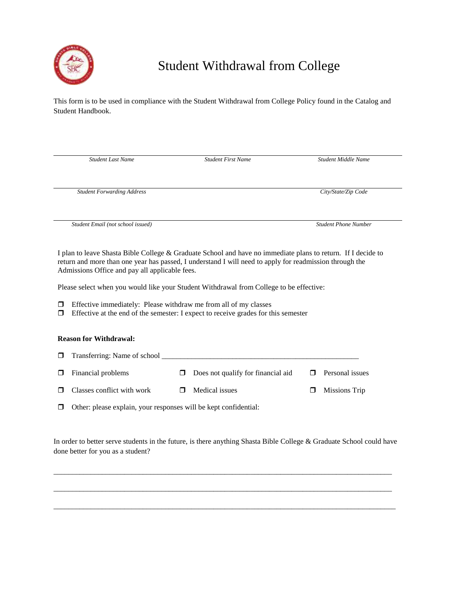

## Student Withdrawal from College

This form is to be used in compliance with the Student Withdrawal from College Policy found in the Catalog and Student Handbook.

| <b>Student Last Name</b>                                                                                                                                                                                                                                                  | <b>Student First Name</b> | Student Middle Name         |
|---------------------------------------------------------------------------------------------------------------------------------------------------------------------------------------------------------------------------------------------------------------------------|---------------------------|-----------------------------|
| <b>Student Forwarding Address</b>                                                                                                                                                                                                                                         |                           | City/State/Zip Code         |
| Student Email (not school issued)                                                                                                                                                                                                                                         |                           | <b>Student Phone Number</b> |
| I plan to leave Shasta Bible College & Graduate School and have no immediate plans to return. If I decide to<br>return and more than one year has passed, I understand I will need to apply for readmission through the<br>Admissions Office and pay all applicable fees. |                           |                             |
| Please select when you would like your Student Withdrawal from College to be effective:                                                                                                                                                                                   |                           |                             |
| Effective immediately: Please withdraw me from all of my classes<br>□<br>Effective at the end of the semester: I expect to receive grades for this semester<br>$\Box$                                                                                                     |                           |                             |
| <b>Reason for Withdrawal:</b>                                                                                                                                                                                                                                             |                           |                             |
| Transferring: Name of school ________                                                                                                                                                                                                                                     |                           |                             |

- $\Box$  Financial problems  $\Box$  Does not qualify for financial aid  $\Box$  Personal issues
- $\Box$  Classes conflict with work  $\Box$  Medical issues  $\Box$  Missions Trip

Other: please explain, your responses will be kept confidential:

In order to better serve students in the future, is there anything Shasta Bible College & Graduate School could have done better for you as a student?

\_\_\_\_\_\_\_\_\_\_\_\_\_\_\_\_\_\_\_\_\_\_\_\_\_\_\_\_\_\_\_\_\_\_\_\_\_\_\_\_\_\_\_\_\_\_\_\_\_\_\_\_\_\_\_\_\_\_\_\_\_\_\_\_\_\_\_\_\_\_\_\_\_\_\_\_\_\_\_\_\_\_\_\_\_\_\_\_\_\_\_

\_\_\_\_\_\_\_\_\_\_\_\_\_\_\_\_\_\_\_\_\_\_\_\_\_\_\_\_\_\_\_\_\_\_\_\_\_\_\_\_\_\_\_\_\_\_\_\_\_\_\_\_\_\_\_\_\_\_\_\_\_\_\_\_\_\_\_\_\_\_\_\_\_\_\_\_\_\_\_\_\_\_\_\_\_\_\_\_\_\_\_

 $\overline{a}$  , and the state of the state of the state of the state of the state of the state of the state of the state of the state of the state of the state of the state of the state of the state of the state of the state o